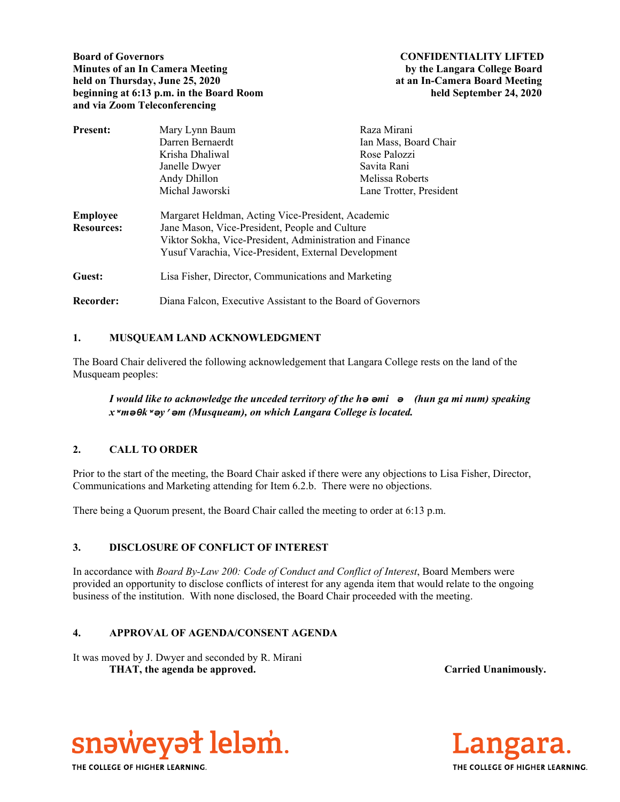**Board of Governors CONFIDENTIALITY LIFTED Minutes of an In Camera Meeting by the Langara College Board held on Thursday, June 25, 2020 at an In-Camera Board Meeting beginning at 6:13 p.m. in the Board Room held September 24, 2020 and via Zoom Teleconferencing** 

| Present:          | Mary Lynn Baum                                              | Raza Mirani             |
|-------------------|-------------------------------------------------------------|-------------------------|
|                   | Darren Bernaerdt                                            | Ian Mass, Board Chair   |
|                   | Krisha Dhaliwal                                             | Rose Palozzi            |
|                   | Janelle Dwyer                                               | Savita Rani             |
|                   | Andy Dhillon                                                | Melissa Roberts         |
|                   | Michal Jaworski                                             | Lane Trotter, President |
| <b>Employee</b>   | Margaret Heldman, Acting Vice-President, Academic           |                         |
| <b>Resources:</b> | Jane Mason, Vice-President, People and Culture              |                         |
|                   | Viktor Sokha, Vice-President, Administration and Finance    |                         |
|                   | Yusuf Varachia, Vice-President, External Development        |                         |
| Guest:            | Lisa Fisher, Director, Communications and Marketing         |                         |
| Recorder:         | Diana Falcon, Executive Assistant to the Board of Governors |                         |

# **1. MUSQUEAM LAND ACKNOWLEDGMENT**

The Board Chair delivered the following acknowledgement that Langara College rests on the land of the Musqueam peoples:

*I would like to acknowledge the unceded territory of the hә әmiә (hun ga mi num) speaking xʷmәθkʷәy̓әm (Musqueam), on which Langara College is located.*

# **2. CALL TO ORDER**

Prior to the start of the meeting, the Board Chair asked if there were any objections to Lisa Fisher, Director, Communications and Marketing attending for Item 6.2.b. There were no objections.

There being a Quorum present, the Board Chair called the meeting to order at 6:13 p.m.

# **3. DISCLOSURE OF CONFLICT OF INTEREST**

In accordance with *Board By-Law 200: Code of Conduct and Conflict of Interest*, Board Members were provided an opportunity to disclose conflicts of interest for any agenda item that would relate to the ongoing business of the institution. With none disclosed, the Board Chair proceeded with the meeting.

# **4. APPROVAL OF AGENDA/CONSENT AGENDA**

It was moved by J. Dwyer and seconded by R. Mirani THAT, the agenda be approved. **Carried Unanimously.** Carried Unanimously.



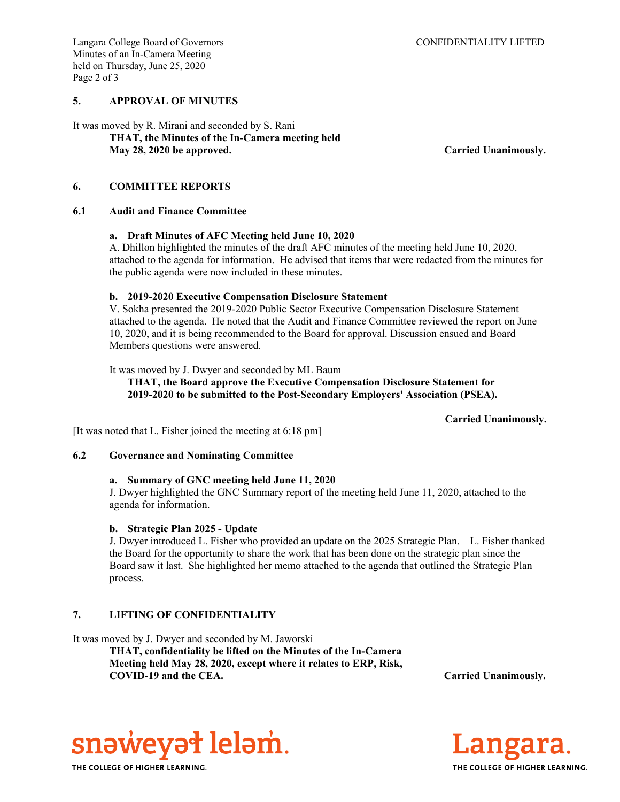### **5. APPROVAL OF MINUTES**

It was moved by R. Mirani and seconded by S. Rani  **THAT, the Minutes of the In-Camera meeting held May 28, 2020 be approved. Carried Unanimously.** 

### **6. COMMITTEE REPORTS**

### **6.1 Audit and Finance Committee**

### **a. Draft Minutes of AFC Meeting held June 10, 2020**

A. Dhillon highlighted the minutes of the draft AFC minutes of the meeting held June 10, 2020, attached to the agenda for information. He advised that items that were redacted from the minutes for the public agenda were now included in these minutes.

### **b. 2019-2020 Executive Compensation Disclosure Statement**

V. Sokha presented the 2019-2020 Public Sector Executive Compensation Disclosure Statement attached to the agenda. He noted that the Audit and Finance Committee reviewed the report on June 10, 2020, and it is being recommended to the Board for approval. Discussion ensued and Board Members questions were answered.

It was moved by J. Dwyer and seconded by ML Baum

**THAT, the Board approve the Executive Compensation Disclosure Statement for 2019-2020 to be submitted to the Post-Secondary Employers' Association (PSEA).** 

### **Carried Unanimously.**

[It was noted that L. Fisher joined the meeting at 6:18 pm]

### **6.2 Governance and Nominating Committee**

### **a. Summary of GNC meeting held June 11, 2020**

J. Dwyer highlighted the GNC Summary report of the meeting held June 11, 2020, attached to the agenda for information.

### **b. Strategic Plan 2025 - Update**

J. Dwyer introduced L. Fisher who provided an update on the 2025 Strategic Plan. L. Fisher thanked the Board for the opportunity to share the work that has been done on the strategic plan since the Board saw it last. She highlighted her memo attached to the agenda that outlined the Strategic Plan process.

## **7. LIFTING OF CONFIDENTIALITY**

It was moved by J. Dwyer and seconded by M. Jaworski

 **THAT, confidentiality be lifted on the Minutes of the In-Camera Meeting held May 28, 2020, except where it relates to ERP, Risk, COVID-19 and the CEA. Carried Unanimously.**